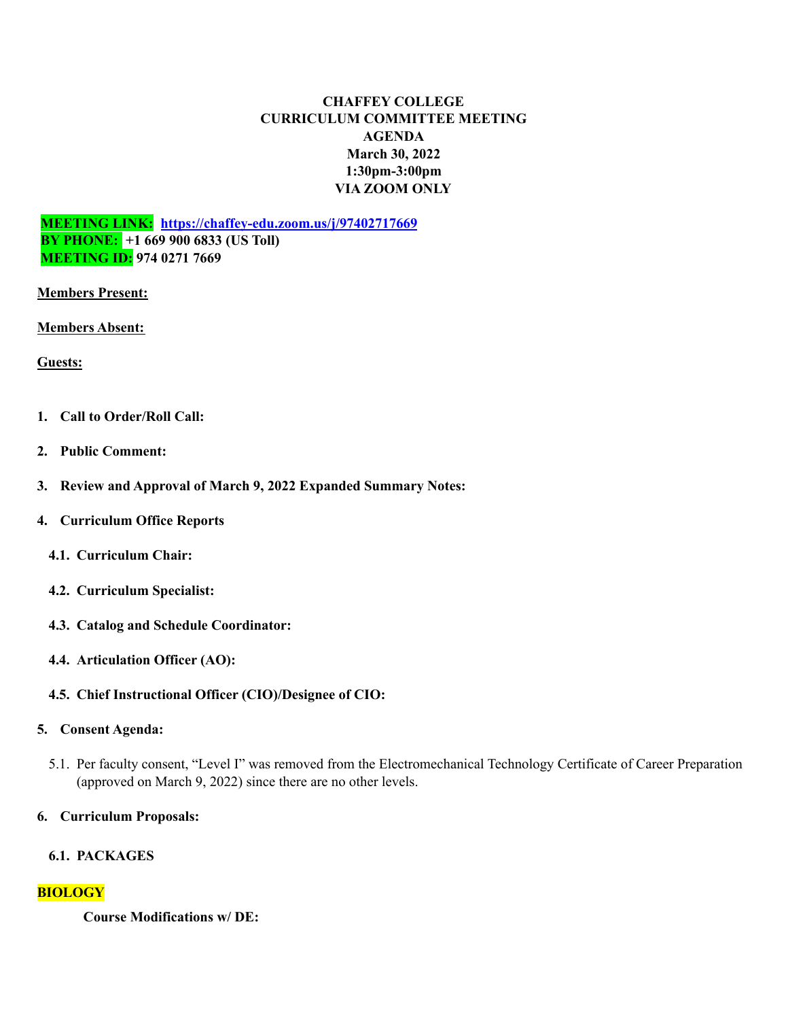### **CHAFFEY COLLEGE CURRICULUM COMMITTEE MEETING AGENDA March 30, 2022 1:30pm-3:00pm VIA ZOOM ONLY**

**MEETING LINK: <https://chaffey-edu.zoom.us/j/97402717669> BY PHONE: +1 669 900 6833 (US Toll) MEETING ID: 974 0271 7669**

#### **Members Present:**

**Members Absent:**

**Guests:**

- **1. Call to Order/Roll Call:**
- **2. Public Comment:**
- **3. Review and Approval of March 9, 2022 Expanded Summary Notes:**
- **4. Curriculum Office Reports**
	- **4.1. Curriculum Chair:**
	- **4.2. Curriculum Specialist:**
	- **4.3. Catalog and Schedule Coordinator:**
	- **4.4. Articulation Officer (AO):**
	- **4.5. Chief Instructional Officer (CIO)/Designee of CIO:**

### **5. Consent Agenda:**

5.1. Per faculty consent, "Level I" was removed from the Electromechanical Technology Certificate of Career Preparation (approved on March 9, 2022) since there are no other levels.

### **6. Curriculum Proposals:**

#### **6.1. PACKAGES**

### **BIOLOGY**

**Course Modifications w/ DE:**